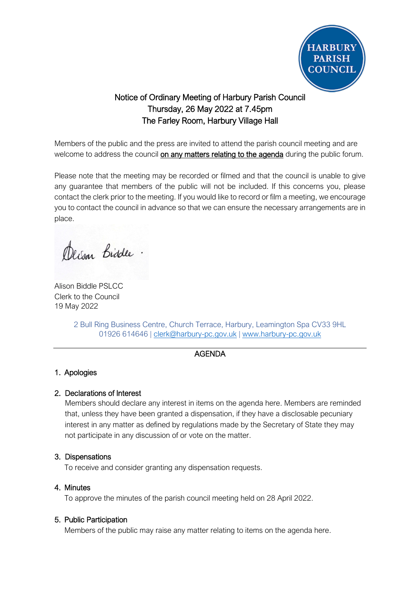

# Notice of Ordinary Meeting of Harbury Parish Council Thursday, 26 May 2022 at 7.45pm The Farley Room, Harbury Village Hall

Members of the public and the press are invited to attend the parish council meeting and are welcome to address the council on any matters relating to the agenda during the public forum.

Please note that the meeting may be recorded or filmed and that the council is unable to give any guarantee that members of the public will not be included. If this concerns you, please contact the clerk prior to the meeting. If you would like to record or film a meeting, we encourage you to contact the council in advance so that we can ensure the necessary arrangements are in place.

Derson Biddle.

Alison Biddle PSLCC Clerk to the Council 19 May 2022

2 Bull Ring Business Centre, Church Terrace, Harbury, Leamington Spa CV33 9HL 01926 614646 | [clerk@harbury-pc.gov.uk](mailto:clerk@harbury-pc.gov.uk) | [www.harbury-pc.gov.uk](http://www.harbury-pc.gov.uk/)

### AGENDA

# 1. Apologies

# 2. Declarations of Interest

Members should declare any interest in items on the agenda here. Members are reminded that, unless they have been granted a dispensation, if they have a disclosable pecuniary interest in any matter as defined by regulations made by the Secretary of State they may not participate in any discussion of or vote on the matter.

# 3. Dispensations

To receive and consider granting any dispensation requests.

# 4. Minutes

To approve the minutes of the parish council meeting held on 28 April 2022.

# 5. Public Participation

Members of the public may raise any matter relating to items on the agenda here.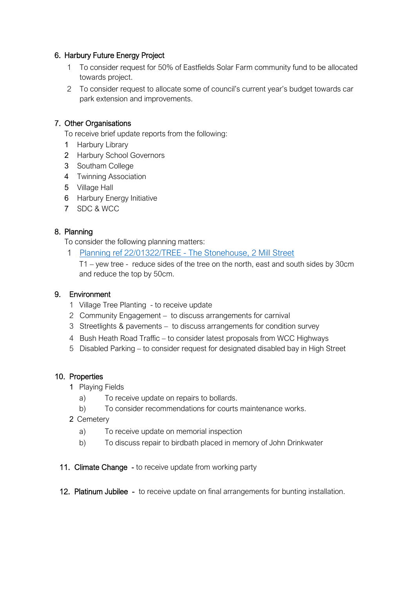### 6. Harbury Future Energy Project

- 1 To consider request for 50% of Eastfields Solar Farm community fund to be allocated towards project.
- 2 To consider request to allocate some of council's current year's budget towards car park extension and improvements.

### 7. Other Organisations

To receive brief update reports from the following:

- 1 Harbury Library
- 2 Harbury School Governors
- 3 Southam College
- 4 Twinning Association
- 5 Village Hall
- 6 Harbury Energy Initiative
- 7 SDC & WCC

### 8. Planning

To consider the following planning matters:

1 [Planning ref 22/01322/TREE -](http://apps.stratford.gov.uk/eplanning/AppDetail.aspx?appkey=RBAOU8PMLMJ00) The Stonehouse, 2 Mill Street

T1 – yew tree - reduce sides of the tree on the north, east and south sides by 30cm and reduce the top by 50cm.

### 9. Environment

- 1 Village Tree Planting to receive update
- 2 Community Engagement to discuss arrangements for carnival
- 3 Streetlights & pavements to discuss arrangements for condition survey
- 4 Bush Heath Road Traffic to consider latest proposals from WCC Highways
- 5 Disabled Parking to consider request for designated disabled bay in High Street

### 10. Properties

- 1 Playing Fields
	- a) To receive update on repairs to bollards.
	- b) To consider recommendations for courts maintenance works.
- 2 Cemetery
	- a) To receive update on memorial inspection
	- b) To discuss repair to birdbath placed in memory of John Drinkwater
- 11. Climate Change to receive update from working party
- 12. Platinum Jubilee to receive update on final arrangements for bunting installation.